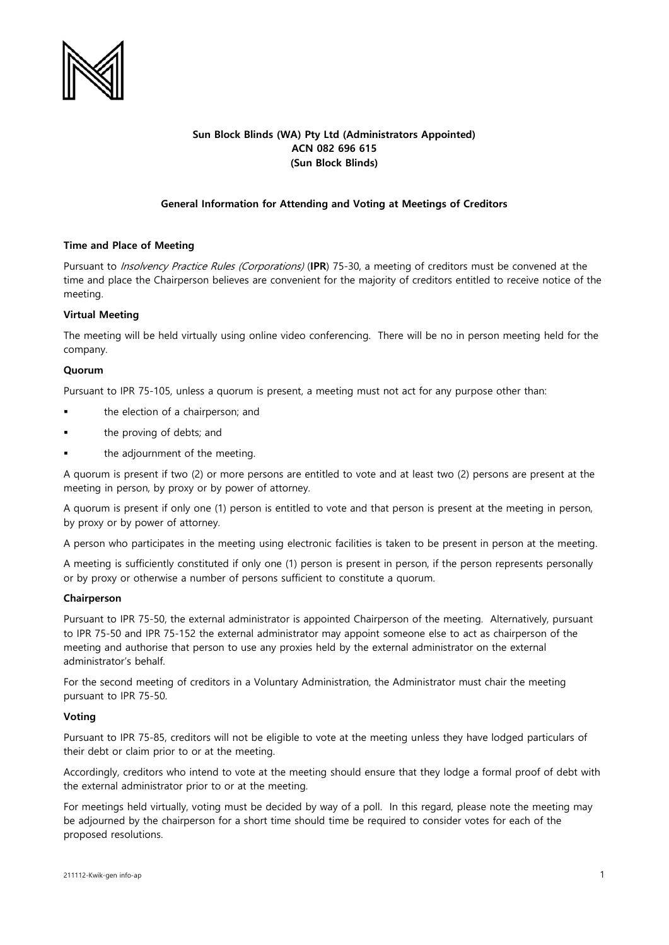

# **Sun Block Blinds (WA) Pty Ltd (Administrators Appointed) ACN 082 696 615 (Sun Block Blinds)**

# **General Information for Attending and Voting at Meetings of Creditors**

## **Time and Place of Meeting**

Pursuant to Insolvency Practice Rules (Corporations) (**IPR**) 75-30, a meeting of creditors must be convened at the time and place the Chairperson believes are convenient for the majority of creditors entitled to receive notice of the meeting.

## **Virtual Meeting**

The meeting will be held virtually using online video conferencing. There will be no in person meeting held for the company.

### **Quorum**

Pursuant to IPR 75-105, unless a quorum is present, a meeting must not act for any purpose other than:

- the election of a chairperson; and
- the proving of debts; and
- the adjournment of the meeting.

A quorum is present if two (2) or more persons are entitled to vote and at least two (2) persons are present at the meeting in person, by proxy or by power of attorney.

A quorum is present if only one (1) person is entitled to vote and that person is present at the meeting in person, by proxy or by power of attorney.

A person who participates in the meeting using electronic facilities is taken to be present in person at the meeting.

A meeting is sufficiently constituted if only one (1) person is present in person, if the person represents personally or by proxy or otherwise a number of persons sufficient to constitute a quorum.

#### **Chairperson**

Pursuant to IPR 75-50, the external administrator is appointed Chairperson of the meeting. Alternatively, pursuant to IPR 75-50 and IPR 75-152 the external administrator may appoint someone else to act as chairperson of the meeting and authorise that person to use any proxies held by the external administrator on the external administrator's behalf.

For the second meeting of creditors in a Voluntary Administration, the Administrator must chair the meeting pursuant to IPR 75-50.

#### **Voting**

Pursuant to IPR 75-85, creditors will not be eligible to vote at the meeting unless they have lodged particulars of their debt or claim prior to or at the meeting.

Accordingly, creditors who intend to vote at the meeting should ensure that they lodge a formal proof of debt with the external administrator prior to or at the meeting.

For meetings held virtually, voting must be decided by way of a poll. In this regard, please note the meeting may be adjourned by the chairperson for a short time should time be required to consider votes for each of the proposed resolutions.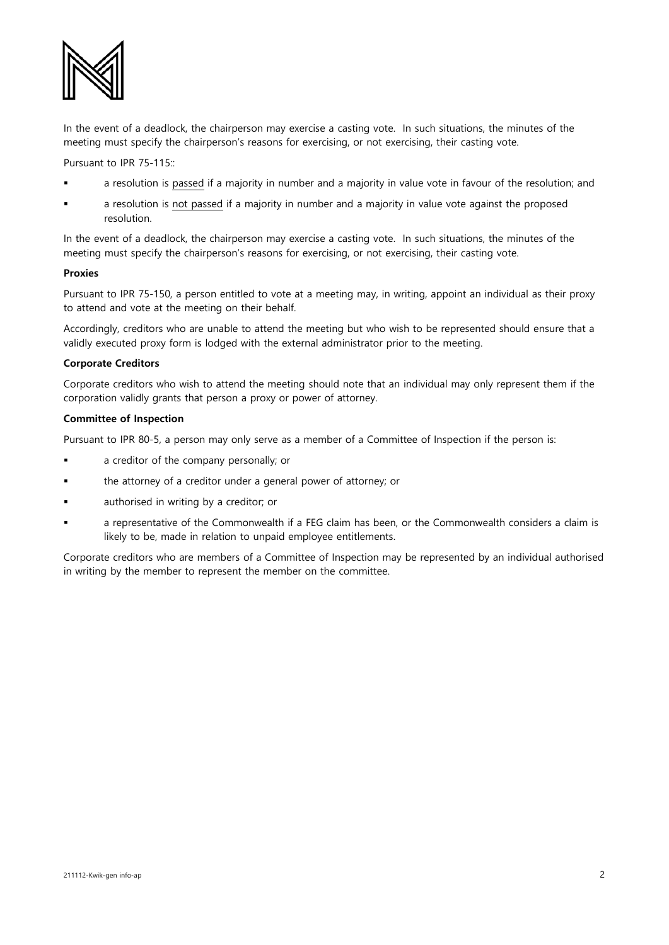

In the event of a deadlock, the chairperson may exercise a casting vote. In such situations, the minutes of the meeting must specify the chairperson's reasons for exercising, or not exercising, their casting vote.

Pursuant to IPR 75-115::

- a resolution is passed if a majority in number and a majority in value vote in favour of the resolution; and
- a resolution is not passed if a majority in number and a majority in value vote against the proposed resolution.

In the event of a deadlock, the chairperson may exercise a casting vote. In such situations, the minutes of the meeting must specify the chairperson's reasons for exercising, or not exercising, their casting vote.

### **Proxies**

Pursuant to IPR 75-150, a person entitled to vote at a meeting may, in writing, appoint an individual as their proxy to attend and vote at the meeting on their behalf.

Accordingly, creditors who are unable to attend the meeting but who wish to be represented should ensure that a validly executed proxy form is lodged with the external administrator prior to the meeting.

# **Corporate Creditors**

Corporate creditors who wish to attend the meeting should note that an individual may only represent them if the corporation validly grants that person a proxy or power of attorney.

### **Committee of Inspection**

Pursuant to IPR 80-5, a person may only serve as a member of a Committee of Inspection if the person is:

- a creditor of the company personally; or
- the attorney of a creditor under a general power of attorney; or
- authorised in writing by a creditor; or
- a representative of the Commonwealth if a FEG claim has been, or the Commonwealth considers a claim is likely to be, made in relation to unpaid employee entitlements.

Corporate creditors who are members of a Committee of Inspection may be represented by an individual authorised in writing by the member to represent the member on the committee.